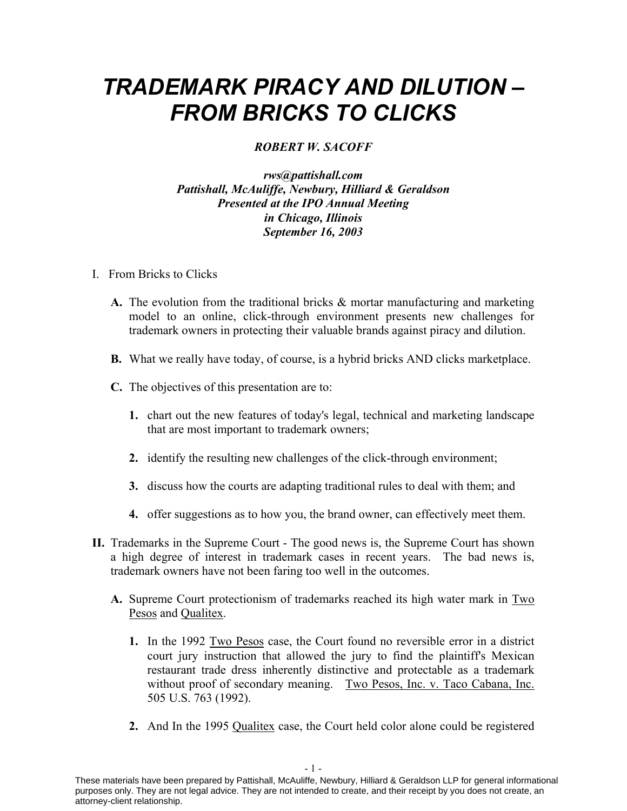## *TRADEMARK PIRACY AND DILUTION – FROM BRICKS TO CLICKS*

## *ROBERT W. SACOFF*

## *rws@pattishall.com Pattishall, McAuliffe, Newbury, Hilliard & Geraldson Presented at the IPO Annual Meeting in Chicago, Illinois September 16, 2003*

- I. From Bricks to Clicks
	- **A.** The evolution from the traditional bricks & mortar manufacturing and marketing model to an online, click-through environment presents new challenges for trademark owners in protecting their valuable brands against piracy and dilution.
	- **B.** What we really have today, of course, is a hybrid bricks AND clicks marketplace.
	- **C.** The objectives of this presentation are to:
		- **1.** chart out the new features of today's legal, technical and marketing landscape that are most important to trademark owners;
		- **2.** identify the resulting new challenges of the click-through environment;
		- **3.** discuss how the courts are adapting traditional rules to deal with them; and
		- **4.** offer suggestions as to how you, the brand owner, can effectively meet them.
- **II.** Trademarks in the Supreme Court The good news is, the Supreme Court has shown a high degree of interest in trademark cases in recent years. The bad news is, trademark owners have not been faring too well in the outcomes.
	- **A.** Supreme Court protectionism of trademarks reached its high water mark in Two Pesos and Qualitex.
		- **1.** In the 1992 Two Pesos case, the Court found no reversible error in a district court jury instruction that allowed the jury to find the plaintiff's Mexican restaurant trade dress inherently distinctive and protectable as a trademark without proof of secondary meaning. Two Pesos, Inc. v. Taco Cabana, Inc. 505 U.S. 763 (1992).
		- **2.** And In the 1995 Qualitex case, the Court held color alone could be registered

These materials have been prepared by Pattishall, McAuliffe, Newbury, Hilliard & Geraldson LLP for general informational purposes only. They are not legal advice. They are not intended to create, and their receipt by you does not create, an attorney-client relationship.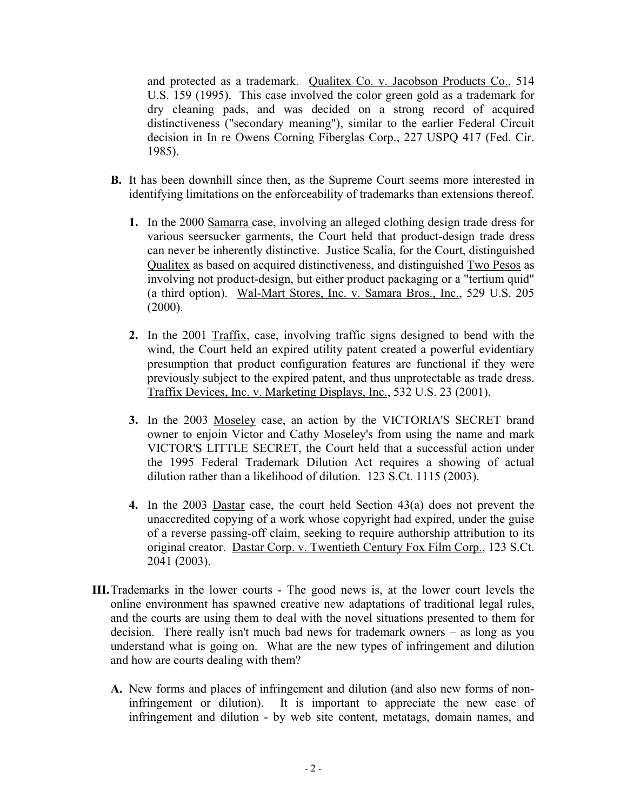and protected as a trademark. Qualitex Co. v. Jacobson Products Co., 514 U.S. 159 (1995). This case involved the color green gold as a trademark for dry cleaning pads, and was decided on a strong record of acquired distinctiveness ("secondary meaning"), similar to the earlier Federal Circuit decision in In re Owens Corning Fiberglas Corp., 227 USPQ 417 (Fed. Cir. 1985).

- **B.** It has been downhill since then, as the Supreme Court seems more interested in identifying limitations on the enforceability of trademarks than extensions thereof.
	- **1.** In the 2000 Samarra case, involving an alleged clothing design trade dress for various seersucker garments, the Court held that product-design trade dress can never be inherently distinctive. Justice Scalia, for the Court, distinguished Qualitex as based on acquired distinctiveness, and distinguished Two Pesos as involving not product-design, but either product packaging or a "tertium quid" (a third option). Wal-Mart Stores, Inc. v. Samara Bros., Inc., 529 U.S. 205  $(2000)$ .
	- **2.** In the 2001 Traffix, case, involving traffic signs designed to bend with the wind, the Court held an expired utility patent created a powerful evidentiary presumption that product configuration features are functional if they were previously subject to the expired patent, and thus unprotectable as trade dress. Traffix Devices, Inc. v. Marketing Displays, Inc., 532 U.S. 23 (2001).
	- **3.** In the 2003 Moseley case, an action by the VICTORIA'S SECRET brand owner to enjoin Victor and Cathy Moseley's from using the name and mark VICTOR'S LITTLE SECRET, the Court held that a successful action under the 1995 Federal Trademark Dilution Act requires a showing of actual dilution rather than a likelihood of dilution. 123 S.Ct. 1115 (2003).
	- **4.** In the 2003 Dastar case, the court held Section 43(a) does not prevent the unaccredited copying of a work whose copyright had expired, under the guise of a reverse passing-off claim, seeking to require authorship attribution to its original creator. Dastar Corp. v. Twentieth Century Fox Film Corp., 123 S.Ct. 2041 (2003).
- **III.**Trademarks in the lower courts The good news is, at the lower court levels the online environment has spawned creative new adaptations of traditional legal rules, and the courts are using them to deal with the novel situations presented to them for decision. There really isn't much bad news for trademark owners – as long as you understand what is going on. What are the new types of infringement and dilution and how are courts dealing with them?
	- **A.** New forms and places of infringement and dilution (and also new forms of noninfringement or dilution). It is important to appreciate the new ease of infringement and dilution - by web site content, metatags, domain names, and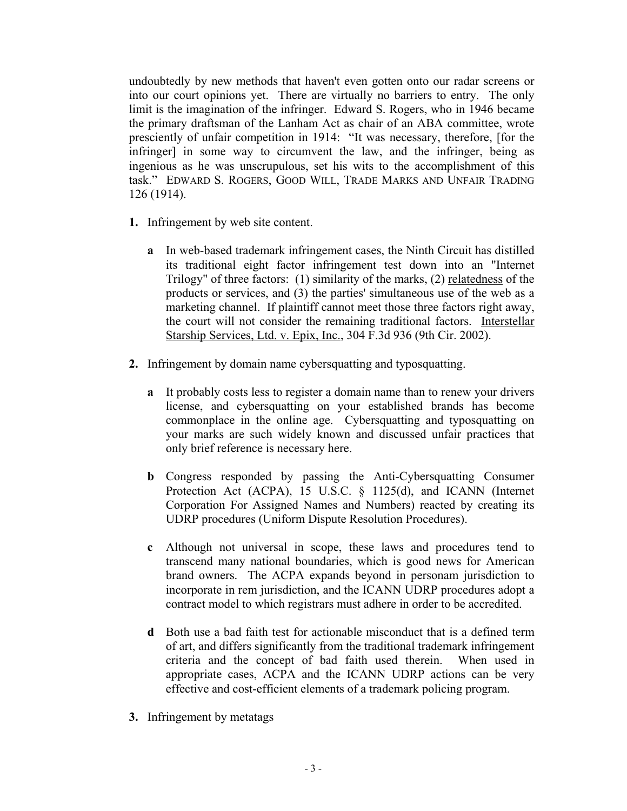undoubtedly by new methods that haven't even gotten onto our radar screens or into our court opinions yet. There are virtually no barriers to entry. The only limit is the imagination of the infringer. Edward S. Rogers, who in 1946 became the primary draftsman of the Lanham Act as chair of an ABA committee, wrote presciently of unfair competition in 1914: "It was necessary, therefore, [for the infringer] in some way to circumvent the law, and the infringer, being as ingenious as he was unscrupulous, set his wits to the accomplishment of this task." EDWARD S. ROGERS, GOOD WILL, TRADE MARKS AND UNFAIR TRADING 126 (1914).

- **1.** Infringement by web site content.
	- **a** In web-based trademark infringement cases, the Ninth Circuit has distilled its traditional eight factor infringement test down into an "Internet Trilogy" of three factors: (1) similarity of the marks, (2) relatedness of the products or services, and (3) the parties' simultaneous use of the web as a marketing channel. If plaintiff cannot meet those three factors right away, the court will not consider the remaining traditional factors. Interstellar Starship Services, Ltd. v. Epix, Inc., 304 F.3d 936 (9th Cir. 2002).
- **2.** Infringement by domain name cybersquatting and typosquatting.
	- **a** It probably costs less to register a domain name than to renew your drivers license, and cybersquatting on your established brands has become commonplace in the online age. Cybersquatting and typosquatting on your marks are such widely known and discussed unfair practices that only brief reference is necessary here.
	- **b** Congress responded by passing the Anti-Cybersquatting Consumer Protection Act (ACPA), 15 U.S.C. § 1125(d), and ICANN (Internet Corporation For Assigned Names and Numbers) reacted by creating its UDRP procedures (Uniform Dispute Resolution Procedures).
	- **c** Although not universal in scope, these laws and procedures tend to transcend many national boundaries, which is good news for American brand owners. The ACPA expands beyond in personam jurisdiction to incorporate in rem jurisdiction, and the ICANN UDRP procedures adopt a contract model to which registrars must adhere in order to be accredited.
	- **d** Both use a bad faith test for actionable misconduct that is a defined term of art, and differs significantly from the traditional trademark infringement criteria and the concept of bad faith used therein. When used in appropriate cases, ACPA and the ICANN UDRP actions can be very effective and cost-efficient elements of a trademark policing program.
- **3.** Infringement by metatags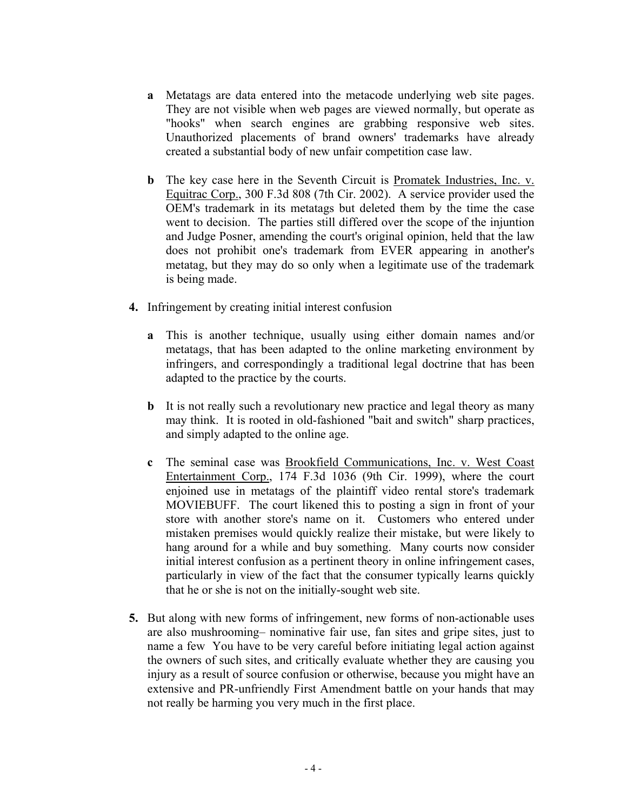- **a** Metatags are data entered into the metacode underlying web site pages. They are not visible when web pages are viewed normally, but operate as "hooks" when search engines are grabbing responsive web sites. Unauthorized placements of brand owners' trademarks have already created a substantial body of new unfair competition case law.
- **b** The key case here in the Seventh Circuit is Promatek Industries, Inc. v. Equitrac Corp., 300 F.3d 808 (7th Cir. 2002). A service provider used the OEM's trademark in its metatags but deleted them by the time the case went to decision. The parties still differed over the scope of the injuntion and Judge Posner, amending the court's original opinion, held that the law does not prohibit one's trademark from EVER appearing in another's metatag, but they may do so only when a legitimate use of the trademark is being made.
- **4.** Infringement by creating initial interest confusion
	- **a** This is another technique, usually using either domain names and/or metatags, that has been adapted to the online marketing environment by infringers, and correspondingly a traditional legal doctrine that has been adapted to the practice by the courts.
	- **b** It is not really such a revolutionary new practice and legal theory as many may think. It is rooted in old-fashioned "bait and switch" sharp practices, and simply adapted to the online age.
	- **c** The seminal case was Brookfield Communications, Inc. v. West Coast Entertainment Corp., 174 F.3d 1036 (9th Cir. 1999), where the court enjoined use in metatags of the plaintiff video rental store's trademark MOVIEBUFF. The court likened this to posting a sign in front of your store with another store's name on it. Customers who entered under mistaken premises would quickly realize their mistake, but were likely to hang around for a while and buy something. Many courts now consider initial interest confusion as a pertinent theory in online infringement cases, particularly in view of the fact that the consumer typically learns quickly that he or she is not on the initially-sought web site.
- **5.** But along with new forms of infringement, new forms of non-actionable uses are also mushrooming– nominative fair use, fan sites and gripe sites, just to name a few You have to be very careful before initiating legal action against the owners of such sites, and critically evaluate whether they are causing you injury as a result of source confusion or otherwise, because you might have an extensive and PR-unfriendly First Amendment battle on your hands that may not really be harming you very much in the first place.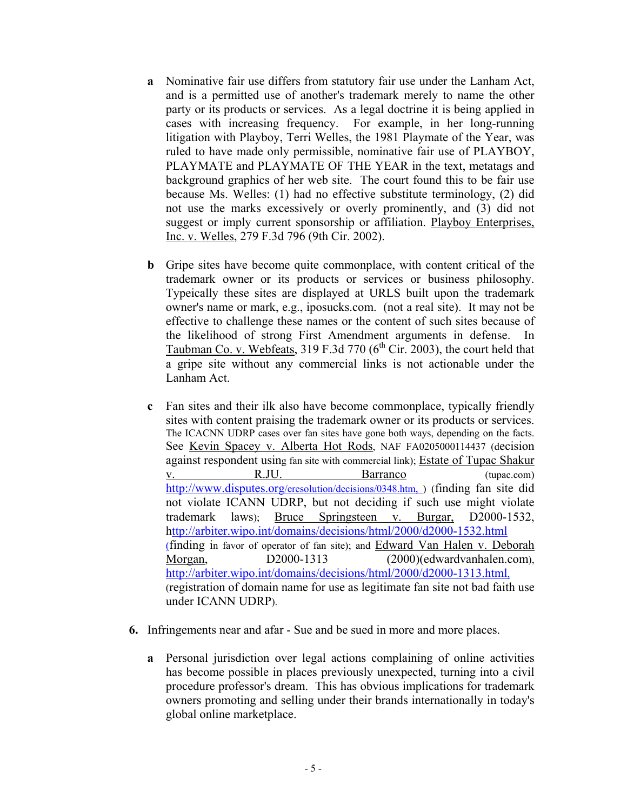- **a** Nominative fair use differs from statutory fair use under the Lanham Act, and is a permitted use of another's trademark merely to name the other party or its products or services. As a legal doctrine it is being applied in cases with increasing frequency. For example, in her long-running litigation with Playboy, Terri Welles, the 1981 Playmate of the Year, was ruled to have made only permissible, nominative fair use of PLAYBOY, PLAYMATE and PLAYMATE OF THE YEAR in the text, metatags and background graphics of her web site. The court found this to be fair use because Ms. Welles: (1) had no effective substitute terminology, (2) did not use the marks excessively or overly prominently, and (3) did not suggest or imply current sponsorship or affiliation. Playboy Enterprises, Inc. v. Welles, 279 F.3d 796 (9th Cir. 2002).
- **b** Gripe sites have become quite commonplace, with content critical of the trademark owner or its products or services or business philosophy. Typeically these sites are displayed at URLS built upon the trademark owner's name or mark, e.g., iposucks.com. (not a real site). It may not be effective to challenge these names or the content of such sites because of the likelihood of strong First Amendment arguments in defense. Taubman Co. v. Webfeats, 319 F.3d 770 ( $6<sup>th</sup>$  Cir. 2003), the court held that a gripe site without any commercial links is not actionable under the Lanham Act.
- **c** Fan sites and their ilk also have become commonplace, typically friendly sites with content praising the trademark owner or its products or services. The ICACNN UDRP cases over fan sites have gone both ways, depending on the facts. See Kevin Spacey v. Alberta Hot Rods, NAF FA0205000114437 (decision against respondent using fan site with commercial link); Estate of Tupac Shakur v. R.JU. Barranco (tupac.com) http://www.disputes.org/eresolution/decisions/0348.htm, ) (finding fan site did not violate ICANN UDRP, but not deciding if such use might violate trademark laws); Bruce Springsteen v. Burgar, D2000-1532, http://arbiter.wipo.int/domains/decisions/html/2000/d2000-1532.html (finding in favor of operator of fan site); and Edward Van Halen v. Deborah Morgan, D2000-1313 (2000)(edwardvanhalen.com), http://arbiter.wipo.int/domains/decisions/html/2000/d2000-1313.html, (registration of domain name for use as legitimate fan site not bad faith use under ICANN UDRP).
- **6.** Infringements near and afar Sue and be sued in more and more places.
	- **a** Personal jurisdiction over legal actions complaining of online activities has become possible in places previously unexpected, turning into a civil procedure professor's dream. This has obvious implications for trademark owners promoting and selling under their brands internationally in today's global online marketplace.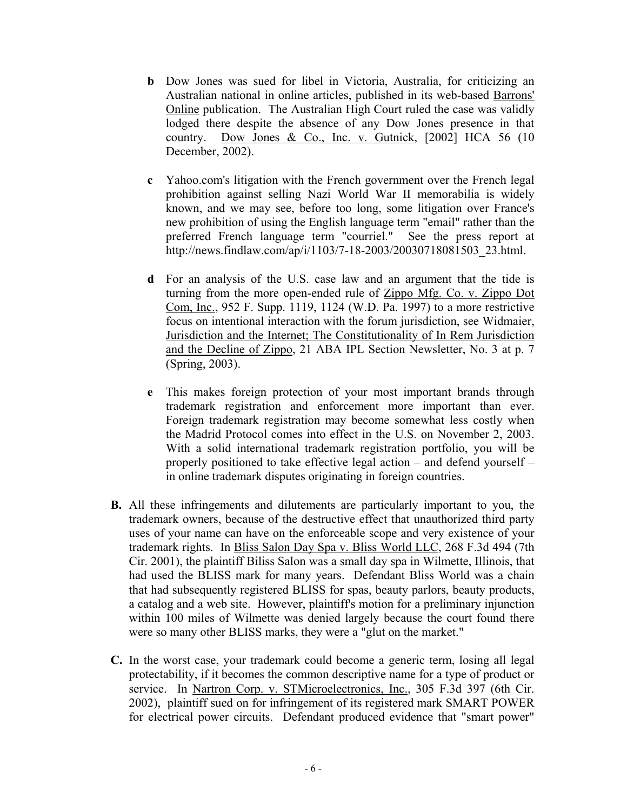- **b** Dow Jones was sued for libel in Victoria, Australia, for criticizing an Australian national in online articles, published in its web-based Barrons' Online publication. The Australian High Court ruled the case was validly lodged there despite the absence of any Dow Jones presence in that country. Dow Jones & Co., Inc. v. Gutnick,  $[2002]$  HCA 56 (10) December, 2002).
- **c** Yahoo.com's litigation with the French government over the French legal prohibition against selling Nazi World War II memorabilia is widely known, and we may see, before too long, some litigation over France's new prohibition of using the English language term "email" rather than the preferred French language term "courriel." See the press report at http://news.findlaw.com/ap/i/1103/7-18-2003/20030718081503\_23.html.
- **d** For an analysis of the U.S. case law and an argument that the tide is turning from the more open-ended rule of Zippo Mfg. Co. v. Zippo Dot Com, Inc., 952 F. Supp. 1119, 1124 (W.D. Pa. 1997) to a more restrictive focus on intentional interaction with the forum jurisdiction, see Widmaier, Jurisdiction and the Internet; The Constitutionality of In Rem Jurisdiction and the Decline of Zippo, 21 ABA IPL Section Newsletter, No. 3 at p. 7 (Spring, 2003).
- **e** This makes foreign protection of your most important brands through trademark registration and enforcement more important than ever. Foreign trademark registration may become somewhat less costly when the Madrid Protocol comes into effect in the U.S. on November 2, 2003. With a solid international trademark registration portfolio, you will be properly positioned to take effective legal action – and defend yourself – in online trademark disputes originating in foreign countries.
- **B.** All these infringements and dilutements are particularly important to you, the trademark owners, because of the destructive effect that unauthorized third party uses of your name can have on the enforceable scope and very existence of your trademark rights. In Bliss Salon Day Spa v. Bliss World LLC, 268 F.3d 494 (7th Cir. 2001), the plaintiff Biliss Salon was a small day spa in Wilmette, Illinois, that had used the BLISS mark for many years. Defendant Bliss World was a chain that had subsequently registered BLISS for spas, beauty parlors, beauty products, a catalog and a web site. However, plaintiff's motion for a preliminary injunction within 100 miles of Wilmette was denied largely because the court found there were so many other BLISS marks, they were a "glut on the market."
- **C.** In the worst case, your trademark could become a generic term, losing all legal protectability, if it becomes the common descriptive name for a type of product or service. In Nartron Corp. v. STMicroelectronics, Inc., 305 F.3d 397 (6th Cir. 2002), plaintiff sued on for infringement of its registered mark SMART POWER for electrical power circuits. Defendant produced evidence that "smart power"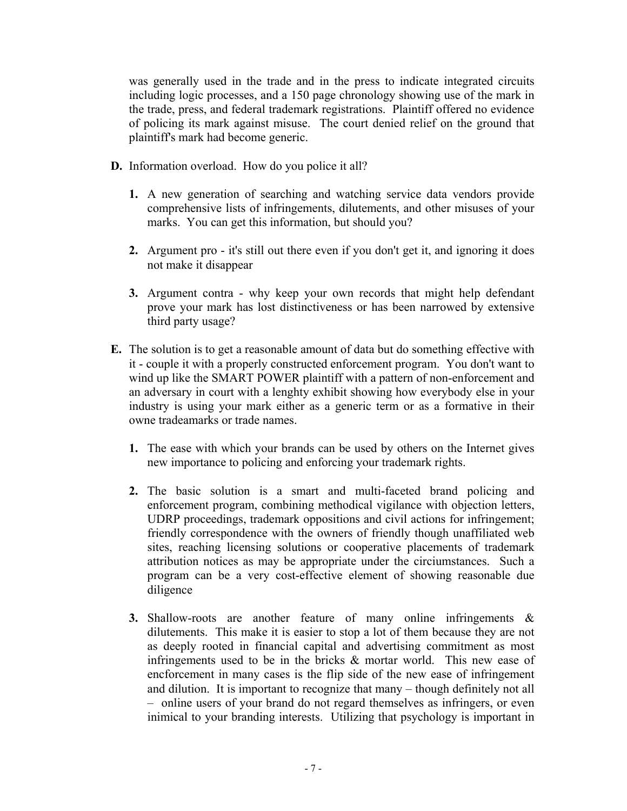was generally used in the trade and in the press to indicate integrated circuits including logic processes, and a 150 page chronology showing use of the mark in the trade, press, and federal trademark registrations. Plaintiff offered no evidence of policing its mark against misuse. The court denied relief on the ground that plaintiff's mark had become generic.

- **D.** Information overload. How do you police it all?
	- **1.** A new generation of searching and watching service data vendors provide comprehensive lists of infringements, dilutements, and other misuses of your marks. You can get this information, but should you?
	- **2.** Argument pro it's still out there even if you don't get it, and ignoring it does not make it disappear
	- **3.** Argument contra why keep your own records that might help defendant prove your mark has lost distinctiveness or has been narrowed by extensive third party usage?
- **E.** The solution is to get a reasonable amount of data but do something effective with it - couple it with a properly constructed enforcement program. You don't want to wind up like the SMART POWER plaintiff with a pattern of non-enforcement and an adversary in court with a lenghty exhibit showing how everybody else in your industry is using your mark either as a generic term or as a formative in their owne tradeamarks or trade names.
	- **1.** The ease with which your brands can be used by others on the Internet gives new importance to policing and enforcing your trademark rights.
	- **2.** The basic solution is a smart and multi-faceted brand policing and enforcement program, combining methodical vigilance with objection letters, UDRP proceedings, trademark oppositions and civil actions for infringement; friendly correspondence with the owners of friendly though unaffiliated web sites, reaching licensing solutions or cooperative placements of trademark attribution notices as may be appropriate under the circiumstances. Such a program can be a very cost-effective element of showing reasonable due diligence
	- **3.** Shallow-roots are another feature of many online infringements & dilutements. This make it is easier to stop a lot of them because they are not as deeply rooted in financial capital and advertising commitment as most infringements used to be in the bricks  $\&$  mortar world. This new ease of encforcement in many cases is the flip side of the new ease of infringement and dilution. It is important to recognize that many – though definitely not all – online users of your brand do not regard themselves as infringers, or even inimical to your branding interests. Utilizing that psychology is important in